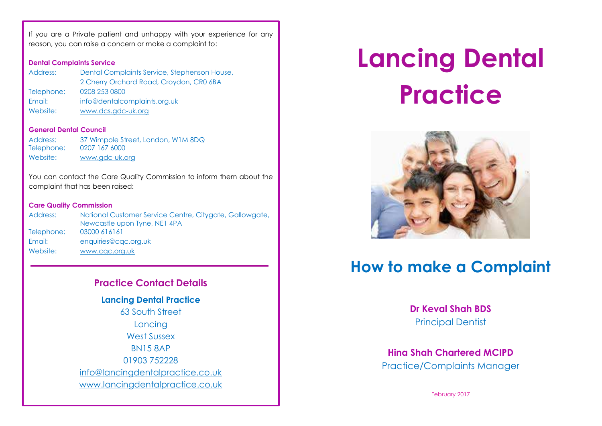If you are a Private patient and unhappy with your experience for any reason, you can raise a concern or make a complaint to:

### **Dental Complaints Service**

| Address:   | Dental Complaints Service, Stephenson House, |
|------------|----------------------------------------------|
|            | 2 Cherry Orchard Road, Croydon, CRO 6BA      |
| Telephone: | 0208 253 0800                                |
| Email:     | info@dentalcomplaints.org.uk                 |
| Website:   | www.dcs.gdc-uk.org                           |

#### **General Dental Council**

| Address:   | 37 Wimpole Street, London, W1M 8DQ |
|------------|------------------------------------|
| Telephone: | 0207 167 6000                      |
| Website:   | www.gdc-uk.org                     |

You can contact the Care Quality Commission to inform them about the complaint that has been raised:

### **Care Quality Commission**

| Address:   | National Customer Service Centre, Citygate, Gallowgate, |
|------------|---------------------------------------------------------|
|            | Newcastle upon Tyne, NE1 4PA                            |
| Telephone: | 03000 616161                                            |
| Email:     | enquiries@cqc.org.uk                                    |
| Website:   | www.cac.org.uk                                          |

## **Practice Contact Details**

**Lancing Dental Practice** 63 South Street Lancing West Sussex BN15 8AP 01903 752228 [info@lancingdentalpractice.co.uk](mailto:info@lancingdentalpractice.co.uk) [www.lancingdentalpractice.co.uk](http://www.lancingdentalpractice.co.uk/)

# **Lancing Dental Practice**



# **How to make a Complaint**

**Dr Keval Shah BDS** Principal Dentist

**Hina Shah Chartered MCIPD** Practice/Complaints Manager

February 2017